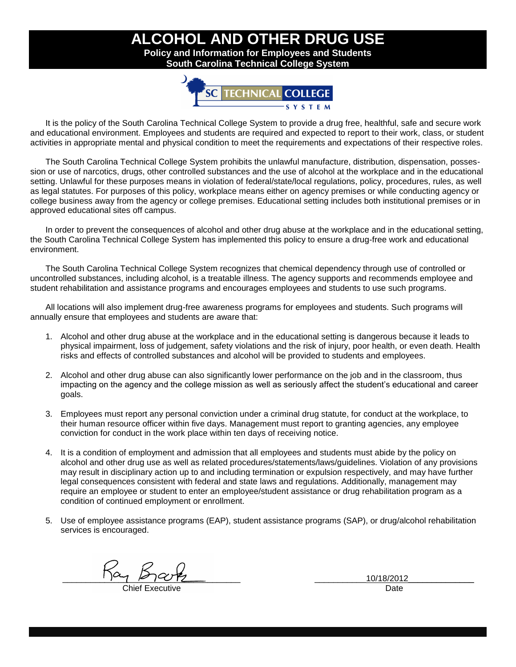## **ALCOHOL AND OTHER DRUG USE Policy and Information for Employees and Students South Carolina Technical College System**

**TECHNICAL** 

It is the policy of the South Carolina Technical College System to provide a drug free, healthful, safe and secure work and educational environment. Employees and students are required and expected to report to their work, class, or student activities in appropriate mental and physical condition to meet the requirements and expectations of their respective roles.

The South Carolina Technical College System prohibits the unlawful manufacture, distribution, dispensation, possession or use of narcotics, drugs, other controlled substances and the use of alcohol at the workplace and in the educational setting. Unlawful for these purposes means in violation of federal/state/local regulations, policy, procedures, rules, as well as legal statutes. For purposes of this policy, workplace means either on agency premises or while conducting agency or college business away from the agency or college premises. Educational setting includes both institutional premises or in approved educational sites off campus.

In order to prevent the consequences of alcohol and other drug abuse at the workplace and in the educational setting, the South Carolina Technical College System has implemented this policy to ensure a drug-free work and educational environment.

The South Carolina Technical College System recognizes that chemical dependency through use of controlled or uncontrolled substances, including alcohol, is a treatable illness. The agency supports and recommends employee and student rehabilitation and assistance programs and encourages employees and students to use such programs.

All locations will also implement drug-free awareness programs for employees and students. Such programs will annually ensure that employees and students are aware that:

- 1. Alcohol and other drug abuse at the workplace and in the educational setting is dangerous because it leads to physical impairment, loss of judgement, safety violations and the risk of injury, poor health, or even death. Health risks and effects of controlled substances and alcohol will be provided to students and employees.
- 2. Alcohol and other drug abuse can also significantly lower performance on the job and in the classroom, thus impacting on the agency and the college mission as well as seriously affect the student's educational and career goals.
- 3. Employees must report any personal conviction under a criminal drug statute, for conduct at the workplace, to their human resource officer within five days. Management must report to granting agencies, any employee conviction for conduct in the work place within ten days of receiving notice.
- 4. It is a condition of employment and admission that all employees and students must abide by the policy on alcohol and other drug use as well as related procedures/statements/laws/guidelines. Violation of any provisions may result in disciplinary action up to and including termination or expulsion respectively, and may have further legal consequences consistent with federal and state laws and regulations. Additionally, management may require an employee or student to enter an employee/student assistance or drug rehabilitation program as a condition of continued employment or enrollment.
- 5. Use of employee assistance programs (EAP), student assistance programs (SAP), or drug/alcohol rehabilitation services is encouraged.

 $\frac{10}{12}$   $\frac{12}{12}$   $\frac{12}{12}$   $\frac{12}{12}$   $\frac{12}{12}$   $\frac{12}{12}$   $\frac{12}{12}$   $\frac{12}{12}$   $\frac{12}{12}$   $\frac{12}{12}$   $\frac{12}{12}$   $\frac{12}{12}$   $\frac{12}{12}$   $\frac{12}{12}$   $\frac{12}{12}$   $\frac{12}{12}$   $\frac{12}{12}$   $\frac{12}{12}$   $\frac{1$ 

Chief Executive Date Date Date Date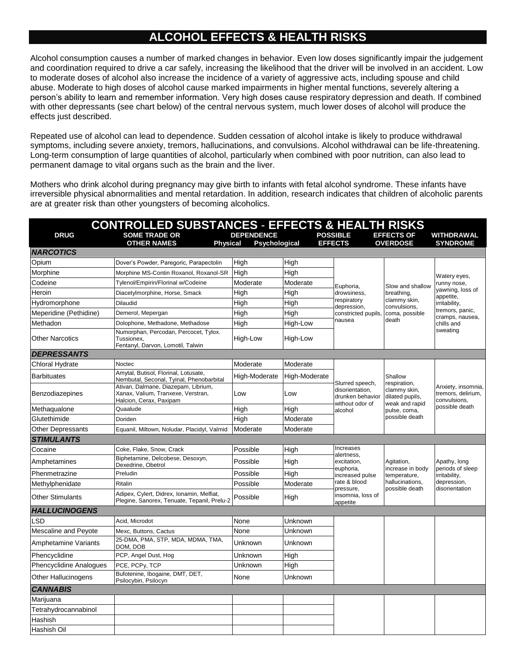## **ALCOHOL EFFECTS & HEALTH RISKS**

Alcohol consumption causes a number of marked changes in behavior. Even low doses significantly impair the judgement and coordination required to drive a car safely, increasing the likelihood that the driver will be involved in an accident. Low to moderate doses of alcohol also increase the incidence of a variety of aggressive acts, including spouse and child abuse. Moderate to high doses of alcohol cause marked impairments in higher mental functions, severely altering a person's ability to learn and remember information. Very high doses cause respiratory depression and death. If combined with other depressants (see chart below) of the central nervous system, much lower doses of alcohol will produce the effects just described.

Repeated use of alcohol can lead to dependence. Sudden cessation of alcohol intake is likely to produce withdrawal symptoms, including severe anxiety, tremors, hallucinations, and convulsions. Alcohol withdrawal can be life-threatening. Long-term consumption of large quantities of alcohol, particularly when combined with poor nutrition, can also lead to permanent damage to vital organs such as the brain and the liver.

Mothers who drink alcohol during pregnancy may give birth to infants with fetal alcohol syndrome. These infants have irreversible physical abnormalities and mental retardation. In addition, research indicates that children of alcoholic parents are at greater risk than other youngsters of becoming alcoholics.

| <b>CONTROLLED SUBSTANCES - EFFECTS &amp; HEALTH RISKS</b> |                                                                                                      |                   |               |                                                                                                                                                                              |                                                                                     |                                                                                            |  |  |  |
|-----------------------------------------------------------|------------------------------------------------------------------------------------------------------|-------------------|---------------|------------------------------------------------------------------------------------------------------------------------------------------------------------------------------|-------------------------------------------------------------------------------------|--------------------------------------------------------------------------------------------|--|--|--|
| <b>DRUG</b>                                               | <b>SOME TRADE OR</b>                                                                                 | <b>DEPENDENCE</b> |               | <b>POSSIBLE</b>                                                                                                                                                              | <b>EFFECTS OF</b>                                                                   | <b>WITHDRAWAL</b>                                                                          |  |  |  |
| <b>NARCOTICS</b>                                          | <b>OTHER NAMES</b><br><b>Physical</b>                                                                | Psychological     |               | <b>EFFECTS</b>                                                                                                                                                               | <b>OVERDOSE</b>                                                                     | <b>SYNDROME</b>                                                                            |  |  |  |
| Opium                                                     | Dover's Powder, Paregoric, Parapectolin                                                              | High              | High          |                                                                                                                                                                              |                                                                                     |                                                                                            |  |  |  |
| Morphine                                                  | Morphine MS-Contin Roxanol, Roxanol-SR                                                               | High              | High          |                                                                                                                                                                              |                                                                                     |                                                                                            |  |  |  |
| Codeine                                                   | Tylenol/Empirin/Florinal w/Codeine                                                                   | Moderate          | Moderate      |                                                                                                                                                                              |                                                                                     | Watery eyes,<br>runny nose,                                                                |  |  |  |
| Heroin                                                    | Diacetylmorphine, Horse, Smack                                                                       | High              | High          | Euphoria,<br>drowsiness,                                                                                                                                                     | Slow and shallow<br>breathing,                                                      | yawning, loss of                                                                           |  |  |  |
| Hydromorphone                                             | Dilaudid                                                                                             | High              | High          | respiratory                                                                                                                                                                  | clammy skin,<br>convulsions,<br>coma, possible<br>death                             | appetite,<br>irritability,<br>tremors, panic,<br>cramps, nausea,<br>chills and<br>sweating |  |  |  |
| Meperidine (Pethidine)                                    | Demerol, Mepergan                                                                                    | High              | High          | depression,<br>constricted pupils,                                                                                                                                           |                                                                                     |                                                                                            |  |  |  |
| Methadon                                                  | Dolophone, Methadone, Methadose                                                                      | High              | High-Low      | nausea                                                                                                                                                                       |                                                                                     |                                                                                            |  |  |  |
| <b>Other Narcotics</b>                                    | Numorphan, Percodan, Percocet, Tylox.<br>Tussionex.<br>Fentanyl, Darvon, Lomotil, Talwin             | High-Low          | High-Low      |                                                                                                                                                                              |                                                                                     |                                                                                            |  |  |  |
| <b>DEPRESSANTS</b>                                        |                                                                                                      |                   |               |                                                                                                                                                                              |                                                                                     |                                                                                            |  |  |  |
| Chloral Hydrate                                           | Noctec                                                                                               | Moderate          | Moderate      |                                                                                                                                                                              |                                                                                     |                                                                                            |  |  |  |
| <b>Barbituates</b>                                        | Amytal, Butisol, Florinal, Lotusate,<br>Nembutal, Seconal, Tyinal, Phenobarbital                     | High-Moderate     | High-Moderate | Slurred speech,                                                                                                                                                              | Shallow<br>respiration,                                                             |                                                                                            |  |  |  |
| Benzodiazepines                                           | Ativan, Dalmane, Diazepam, Librium,<br>Xanax, Valium, Tranxexe, Verstran,<br>Halcion, Cerax, Paxipam | Low               | Low           | disorientation,<br>drunken behavior<br>without odor of<br>alcohol                                                                                                            | clammy skin,<br>dilated pupils.<br>weak and rapid<br>pulse, coma,<br>possible death | Anxiety, insomnia,<br>tremors, delirium,<br>convulsions,<br>possible death                 |  |  |  |
| Methaqualone                                              | Quaalude                                                                                             | High              | High          |                                                                                                                                                                              |                                                                                     |                                                                                            |  |  |  |
| Glutethimide                                              | Doriden                                                                                              | High              | Moderate      |                                                                                                                                                                              |                                                                                     |                                                                                            |  |  |  |
| <b>Other Depressants</b>                                  | Equanil, Miltown, Noludar, Placidyl, Valmid                                                          | Moderate          | Moderate      |                                                                                                                                                                              |                                                                                     |                                                                                            |  |  |  |
| <b>STIMULANTS</b>                                         |                                                                                                      |                   |               |                                                                                                                                                                              |                                                                                     |                                                                                            |  |  |  |
| Cocaine                                                   | Coke, Flake, Snow, Crack                                                                             | Possible          | High          | Increases                                                                                                                                                                    |                                                                                     |                                                                                            |  |  |  |
| Amphetamines                                              | Biphetamine, Delcobese, Desoxyn,<br>Dexedrine, Obetrol                                               | Possible          | High          | alertness,<br>excitation,<br>Agitation,<br>euphoria,<br>increase in body<br>increased pulse<br>temperature,<br>irritability,<br>rate & blood<br>hallucinations,<br>pressure, | Apathy, long<br>periods of sleep                                                    |                                                                                            |  |  |  |
| Phenmetrazine                                             | Preludin                                                                                             | Possible          | High          |                                                                                                                                                                              |                                                                                     | depression,<br>disorientation                                                              |  |  |  |
| Methylphenidate                                           | Ritalin                                                                                              | Possible          | Moderate      |                                                                                                                                                                              | possible death                                                                      |                                                                                            |  |  |  |
| <b>Other Stimulants</b>                                   | Adipex, Cylert, Didrex, Ionamin, Melfiat,<br>Plegine, Sanorex, Tenuate, Tepanil, Prelu-2             | Possible          | High          | insomnia, loss of<br>appetite                                                                                                                                                |                                                                                     |                                                                                            |  |  |  |
| <b>HALLUCINOGENS</b>                                      |                                                                                                      |                   |               |                                                                                                                                                                              |                                                                                     |                                                                                            |  |  |  |
| LSD                                                       | Acid, Microdot                                                                                       | None              | Unknown       |                                                                                                                                                                              |                                                                                     |                                                                                            |  |  |  |
| Mescaline and Peyote                                      | Mexc, Buttons, Cactus                                                                                | None              | Unknown       |                                                                                                                                                                              |                                                                                     |                                                                                            |  |  |  |
| <b>Amphetamine Variants</b>                               | 25-DMA, PMA, STP, MDA, MDMA, TMA,<br>DOM, DOB                                                        | Unknown           | Unknown       |                                                                                                                                                                              |                                                                                     |                                                                                            |  |  |  |
| Phencyclidine                                             | PCP, Angel Dust, Hog                                                                                 | Unknown           | High          |                                                                                                                                                                              |                                                                                     |                                                                                            |  |  |  |
| <b>Phencyclidine Analogues</b>                            | PCE, PCPy, TCP                                                                                       | Unknown           | High          |                                                                                                                                                                              |                                                                                     |                                                                                            |  |  |  |
| <b>Other Hallucinogens</b>                                | Bufotenine, Ibogaine, DMT, DET,<br>Psilocybin, Psilocyn                                              | None              | Unknown       |                                                                                                                                                                              |                                                                                     |                                                                                            |  |  |  |
| <b>CANNABIS</b>                                           |                                                                                                      |                   |               |                                                                                                                                                                              |                                                                                     |                                                                                            |  |  |  |
| Marijuana                                                 |                                                                                                      |                   |               |                                                                                                                                                                              |                                                                                     |                                                                                            |  |  |  |
| Tetrahydrocannabinol                                      |                                                                                                      |                   |               |                                                                                                                                                                              |                                                                                     |                                                                                            |  |  |  |
| Hashish                                                   |                                                                                                      |                   |               |                                                                                                                                                                              |                                                                                     |                                                                                            |  |  |  |
| Hashish Oil                                               |                                                                                                      |                   |               |                                                                                                                                                                              |                                                                                     |                                                                                            |  |  |  |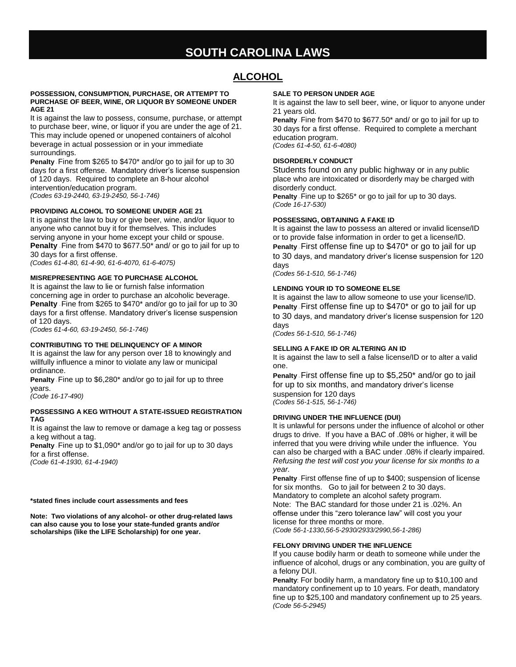# **SOUTH CAROLINA LAWS**

## **ALCOHOL**

#### **POSSESSION, CONSUMPTION, PURCHASE, OR ATTEMPT TO PURCHASE OF BEER, WINE, OR LIQUOR BY SOMEONE UNDER AGE 21**

It is against the law to possess, consume, purchase, or attempt to purchase beer, wine, or liquor if you are under the age of 21. This may include opened or unopened containers of alcohol beverage in actual possession or in your immediate surroundings.

**Penalty** -Fine from \$265 to \$470\* and/or go to jail for up to 30 days for a first offense. Mandatory driver's license suspension of 120 days. Required to complete an 8-hour alcohol intervention/education program. *(Codes 63-19-2440, 63-19-2450, 56-1-746)*

#### **PROVIDING ALCOHOL TO SOMEONE UNDER AGE 21**

It is against the law to buy or give beer, wine, and/or liquor to anyone who cannot buy it for themselves. This includes serving anyone in your home except your child or spouse. **Penalty** -Fine from \$470 to \$677.50\* and/ or go to jail for up to 30 days for a first offense.

*(Codes 61-4-80, 61-4-90, 61-6-4070, 61-6-4075)*

#### **MISREPRESENTING AGE TO PURCHASE ALCOHOL**

It is against the law to lie or furnish false information concerning age in order to purchase an alcoholic beverage. **Penalty** Fine from \$265 to \$470\* and/or go to jail for up to 30 days for a first offense. Mandatory driver's license suspension of 120 days.

*(Codes 61-4-60, 63-19-2450, 56-1-746)*

#### **CONTRIBUTING TO THE DELINQUENCY OF A MINOR**

It is against the law for any person over 18 to knowingly and willfully influence a minor to violate any law or municipal ordinance.

**Penalty** -Fine up to \$6,280\* and/or go to jail for up to three years.

*(Code 16-17-490)*

#### **POSSESSING A KEG WITHOUT A STATE-ISSUED REGISTRATION TAG**

It is against the law to remove or damage a keg tag or possess a keg without a tag.

**Penalty** -Fine up to \$1,090\* and/or go to jail for up to 30 days for a first offense.

*(Code 61-4-1930, 61-4-1940)*

#### **\*stated fines include court assessments and fees**

**Note: Two violations of any alcohol- or other drug-related laws can also cause you to lose your state-funded grants and/or scholarships (like the LIFE Scholarship) for one year.**

#### **SALE TO PERSON UNDER AGE**

It is against the law to sell beer, wine, or liquor to anyone under 21 years old.

**Penalty** -Fine from \$470 to \$677.50\* and/ or go to jail for up to 30 days for a first offense. Required to complete a merchant education program.

*(Codes 61-4-50, 61-6-4080)*

#### **DISORDERLY CONDUCT**

Students found on any public highway or in any public place who are intoxicated or disorderly may be charged with disorderly conduct.

**Penalty** -Fine up to \$265\* or go to jail for up to 30 days. *(Code 16-17-530)*

#### **POSSESSING, OBTAINING A FAKE ID**

It is against the law to possess an altered or invalid license/ID or to provide false information in order to get a license/ID. **Penalty** -First offense fine up to \$470\* or go to jail for up to 30 days, and mandatory driver's license suspension for 120 days

*(Codes 56-1-510, 56-1-746)*

#### **LENDING YOUR ID TO SOMEONE ELSE**

It is against the law to allow someone to use your license/ID. **Penalty** -First offense fine up to \$470\* or go to jail for up to 30 days, and mandatory driver's license suspension for 120 days

*(Codes 56-1-510, 56-1-746)*

#### **SELLING A FAKE ID OR ALTERING AN ID**

It is against the law to sell a false license/ID or to alter a valid one.

**Penalty** -First offense fine up to \$5,250\* and/or go to jail for up to six months, and mandatory driver's license suspension for 120 days *(Codes 56-1-515, 56-1-746)*

#### **DRIVING UNDER THE INFLUENCE (DUI)**

It is unlawful for persons under the influence of alcohol or other drugs to drive. If you have a BAC of .08% or higher, it will be inferred that you were driving while under the influence. You can also be charged with a BAC under .08% if clearly impaired. *Refusing the test will cost you your license for six months to a year.* 

**Penalty** -First offense fine of up to \$400; suspension of license for six months. Go to jail for between 2 to 30 days. Mandatory to complete an alcohol safety program. Note: The BAC standard for those under 21 is .02%. An offense under this "zero tolerance law" will cost you your license for three months or more. *(Code 56-1-1330,56-5-2930/2933/2990,56-1-286)*

#### **FELONY DRIVING UNDER THE INFLUENCE**

If you cause bodily harm or death to someone while under the influence of alcohol, drugs or any combination, you are guilty of a felony DUI.

**Penalty**: For bodily harm, a mandatory fine up to \$10,100 and mandatory confinement up to 10 years. For death, mandatory fine up to \$25,100 and mandatory confinement up to 25 years. *(Code 56-5-2945)*